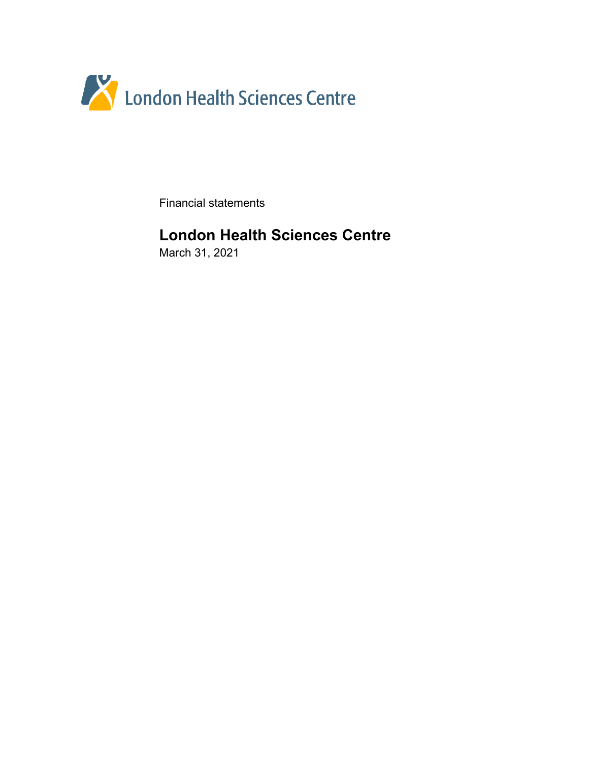

Financial statements

# **London Health Sciences Centre**

March 31, 2021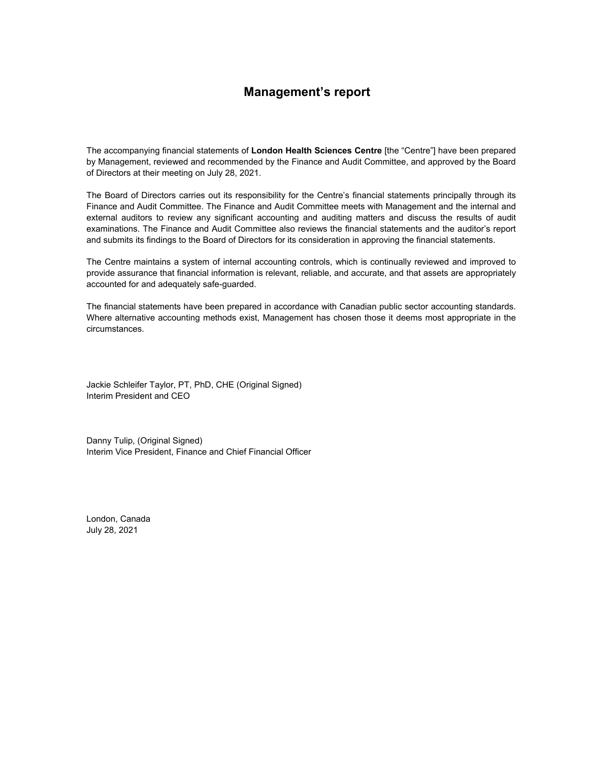# **Management's report**

The accompanying financial statements of **London Health Sciences Centre** [the "Centre"] have been prepared by Management, reviewed and recommended by the Finance and Audit Committee, and approved by the Board of Directors at their meeting on July 28, 2021.

The Board of Directors carries out its responsibility for the Centre's financial statements principally through its Finance and Audit Committee. The Finance and Audit Committee meets with Management and the internal and external auditors to review any significant accounting and auditing matters and discuss the results of audit examinations. The Finance and Audit Committee also reviews the financial statements and the auditor's report and submits its findings to the Board of Directors for its consideration in approving the financial statements.

The Centre maintains a system of internal accounting controls, which is continually reviewed and improved to provide assurance that financial information is relevant, reliable, and accurate, and that assets are appropriately accounted for and adequately safe-guarded.

The financial statements have been prepared in accordance with Canadian public sector accounting standards. Where alternative accounting methods exist, Management has chosen those it deems most appropriate in the circumstances.

Jackie Schleifer Taylor, PT, PhD, CHE (Original Signed) Interim President and CEO

Danny Tulip, (Original Signed) Interim Vice President, Finance and Chief Financial Officer

London, Canada July 28, 2021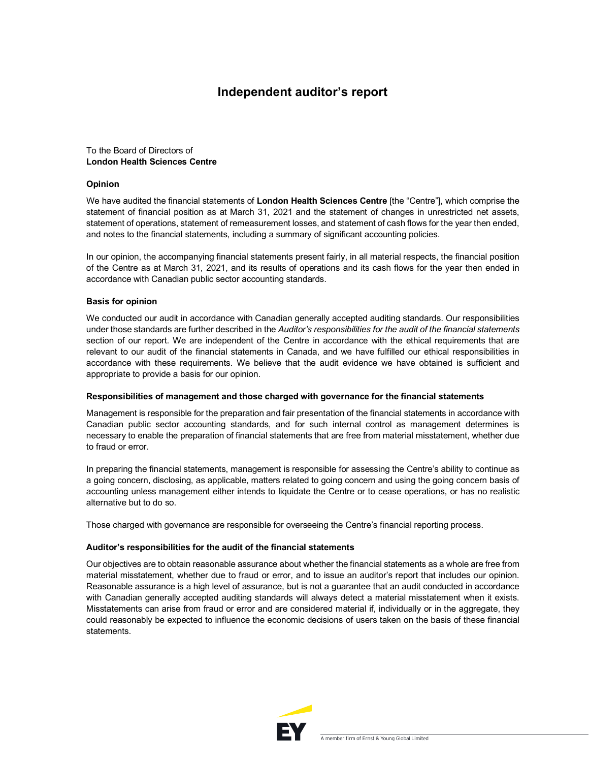# **Independent auditor's report**

To the Board of Directors of **London Health Sciences Centre**

#### **Opinion**

We have audited the financial statements of **London Health Sciences Centre** [the "Centre"], which comprise the statement of financial position as at March 31, 2021 and the statement of changes in unrestricted net assets, statement of operations, statement of remeasurement losses, and statement of cash flows for the year then ended, and notes to the financial statements, including a summary of significant accounting policies.

In our opinion, the accompanying financial statements present fairly, in all material respects, the financial position of the Centre as at March 31, 2021, and its results of operations and its cash flows for the year then ended in accordance with Canadian public sector accounting standards.

#### **Basis for opinion**

We conducted our audit in accordance with Canadian generally accepted auditing standards. Our responsibilities under those standards are further described in the *Auditor's responsibilities for the audit of the financial statements*  section of our report. We are independent of the Centre in accordance with the ethical requirements that are relevant to our audit of the financial statements in Canada, and we have fulfilled our ethical responsibilities in accordance with these requirements. We believe that the audit evidence we have obtained is sufficient and appropriate to provide a basis for our opinion.

#### **Responsibilities of management and those charged with governance for the financial statements**

Management is responsible for the preparation and fair presentation of the financial statements in accordance with Canadian public sector accounting standards, and for such internal control as management determines is necessary to enable the preparation of financial statements that are free from material misstatement, whether due to fraud or error.

In preparing the financial statements, management is responsible for assessing the Centre's ability to continue as a going concern, disclosing, as applicable, matters related to going concern and using the going concern basis of accounting unless management either intends to liquidate the Centre or to cease operations, or has no realistic alternative but to do so.

Those charged with governance are responsible for overseeing the Centre's financial reporting process.

#### **Auditor's responsibilities for the audit of the financial statements**

Our objectives are to obtain reasonable assurance about whether the financial statements as a whole are free from material misstatement, whether due to fraud or error, and to issue an auditor's report that includes our opinion. Reasonable assurance is a high level of assurance, but is not a guarantee that an audit conducted in accordance with Canadian generally accepted auditing standards will always detect a material misstatement when it exists. Misstatements can arise from fraud or error and are considered material if, individually or in the aggregate, they could reasonably be expected to influence the economic decisions of users taken on the basis of these financial statements.

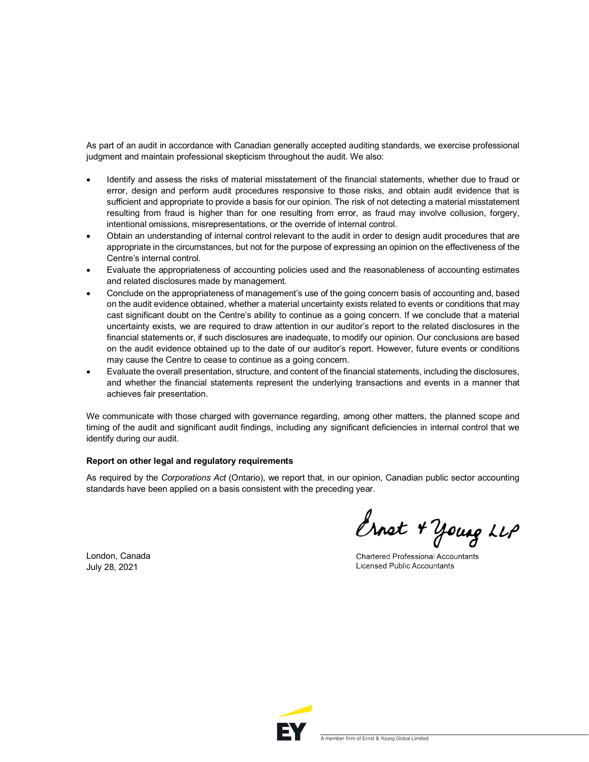As part of an audit in accordance with Canadian generally accepted auditing standards, we exercise professional judgment and maintain professional skepticism throughout the audit. We also:

- Identify and assess the risks of material misstatement of the financial statements, whether due to fraud or error, design and perform audit procedures responsive to those risks, and obtain audit evidence that is sufficient and appropriate to provide a basis for our opinion. The risk of not detecting a material misstatement resulting from fraud is higher than for one resulting from error, as fraud may involve collusion, forgery, intentional omissions, misrepresentations, or the override of internal control.
- Obtain an understanding of internal control relevant to the audit in order to design audit procedures that are appropriate in the circumstances, but not for the purpose of expressing an opinion on the effectiveness of the Centre's internal control.
- Evaluate the appropriateness of accounting policies used and the reasonableness of accounting estimates and related disclosures made by management.
- Conclude on the appropriateness of management's use of the going concern basis of accounting and, based on the audit evidence obtained, whether a material uncertainty exists related to events or conditions that may cast significant doubt on the Centre's ability to continue as a going concern. If we conclude that a material uncertainty exists, we are required to draw attention in our auditor's report to the related disclosures in the financial statements or, if such disclosures are inadequate, to modify our opinion. Our conclusions are based on the audit evidence obtained up to the date of our auditor's report. However, future events or conditions may cause the Centre to cease to continue as a going concern.
- Evaluate the overall presentation, structure, and content of the financial statements, including the disclosures, and whether the financial statements represent the underlying transactions and events in a manner that achieves fair presentation.

We communicate with those charged with governance regarding, among other matters, the planned scope and timing of the audit and significant audit findings, including any significant deficiencies in internal control that we identify during our audit.

#### **Report on other legal and regulatory requirements**

As required by the *Corporations Act* (Ontario), we report that, in our opinion, Canadian public sector accounting standards have been applied on a basis consistent with the preceding year.

London, Canada July 28, 2021

Ernst + Young LLP

**Chartered Professional Accountants** Licensed Public Accountants

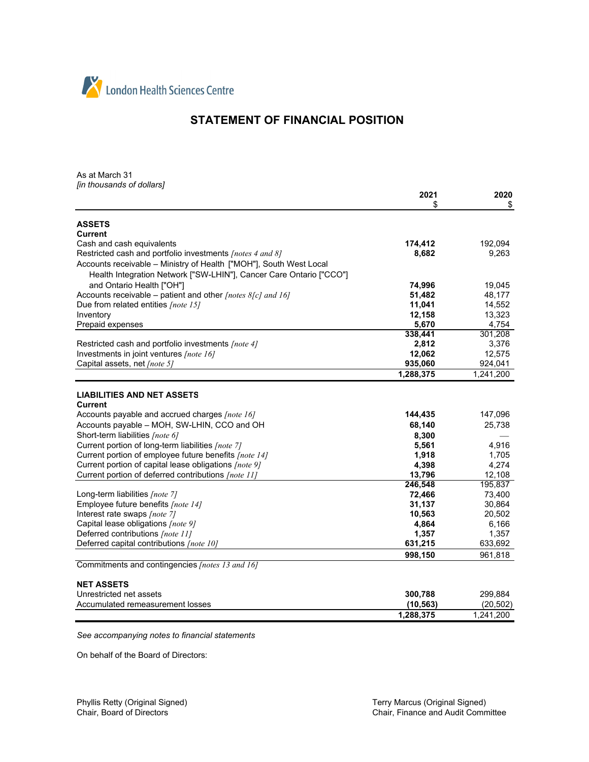

# **STATEMENT OF FINANCIAL POSITION**

As at March 31 *[in thousands of dollars]*

|                                                                     | 2021      | 2020      |
|---------------------------------------------------------------------|-----------|-----------|
|                                                                     | \$        | \$        |
|                                                                     |           |           |
| <b>ASSETS</b>                                                       |           |           |
| <b>Current</b>                                                      |           |           |
| Cash and cash equivalents                                           | 174,412   | 192,094   |
| Restricted cash and portfolio investments [notes 4 and 8]           | 8,682     | 9,263     |
| Accounts receivable - Ministry of Health ["MOH"], South West Local  |           |           |
| Health Integration Network ["SW-LHIN"], Cancer Care Ontario ["CCO"] |           |           |
| and Ontario Health ["OH"]                                           | 74,996    | 19,045    |
| Accounts receivable – patient and other [notes $8[c]$ and $16]$     | 51,482    | 48,177    |
| Due from related entities [note 15]                                 | 11,041    | 14,552    |
| Inventory                                                           | 12,158    | 13,323    |
| Prepaid expenses                                                    | 5,670     | 4,754     |
|                                                                     | 338,441   | 301,208   |
| Restricted cash and portfolio investments [note 4]                  | 2,812     | 3,376     |
| Investments in joint ventures [note 16]                             | 12,062    | 12,575    |
| Capital assets, net [note 5]                                        | 935,060   | 924,041   |
|                                                                     | 1,288,375 | 1,241,200 |
|                                                                     |           |           |
| <b>LIABILITIES AND NET ASSETS</b><br><b>Current</b>                 |           |           |
| Accounts payable and accrued charges [note 16]                      | 144,435   | 147,096   |
| Accounts payable - MOH, SW-LHIN, CCO and OH                         | 68,140    | 25,738    |
| Short-term liabilities [note 6]                                     | 8,300     |           |
| Current portion of long-term liabilities [note 7]                   | 5,561     | 4,916     |
| Current portion of employee future benefits [note 14]               | 1,918     | 1,705     |
| Current portion of capital lease obligations [note 9]               | 4,398     | 4,274     |
| Current portion of deferred contributions [note 11]                 | 13,796    | 12.108    |
|                                                                     | 246,548   | 195,837   |
| Long-term liabilities [note 7]                                      | 72,466    | 73,400    |
| Employee future benefits [note 14]                                  | 31,137    | 30,864    |
| Interest rate swaps [note 7]                                        | 10,563    | 20,502    |
| Capital lease obligations [note 9]                                  | 4,864     | 6,166     |
| Deferred contributions [note 11]                                    | 1,357     | 1,357     |
| Deferred capital contributions [note 10]                            | 631,215   | 633,692   |
|                                                                     | 998,150   | 961,818   |
| Commitments and contingencies [notes 13 and 16]                     |           |           |
|                                                                     |           |           |
| <b>NET ASSETS</b>                                                   |           |           |
| Unrestricted net assets                                             | 300,788   | 299,884   |
| Accumulated remeasurement losses                                    | (10, 563) | (20, 502) |
|                                                                     | 1,288,375 | 1,241,200 |

*See accompanying notes to financial statements*

On behalf of the Board of Directors: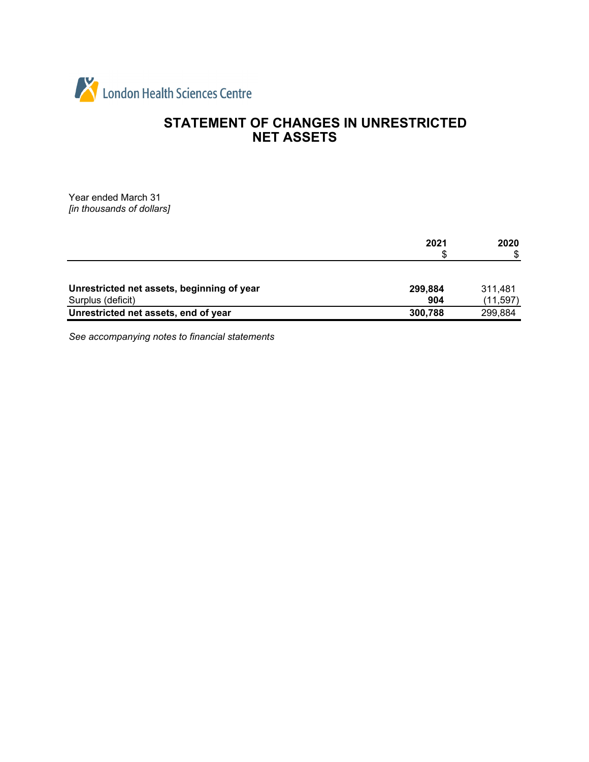

# **STATEMENT OF CHANGES IN UNRESTRICTED NET ASSETS**

Year ended March 31 *[in thousands of dollars]*

|                                            | 2021<br>S | 2020     |
|--------------------------------------------|-----------|----------|
|                                            |           |          |
| Unrestricted net assets, beginning of year | 299,884   | 311,481  |
| Surplus (deficit)                          | 904       | (11,597) |
| Unrestricted net assets, end of year       | 300,788   | 299,884  |

*See accompanying notes to financial statements*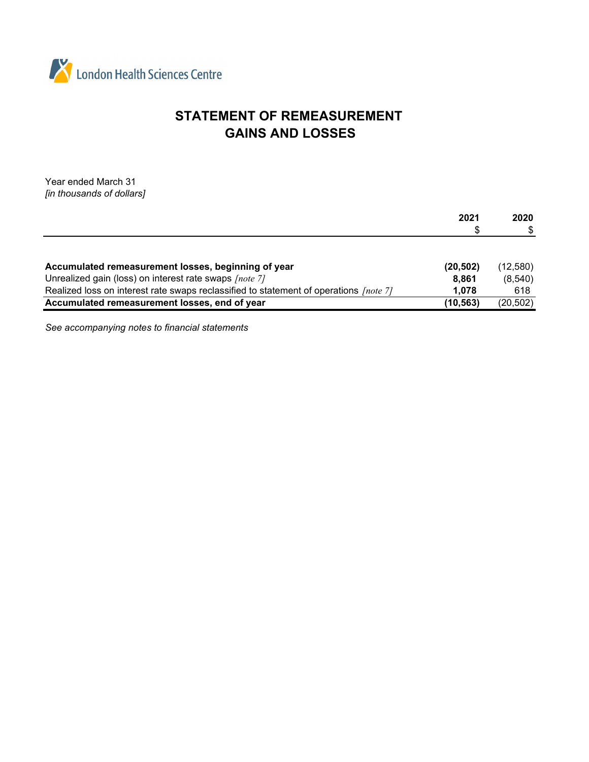

# **STATEMENT OF REMEASUREMENT GAINS AND LOSSES**

Year ended March 31 *[in thousands of dollars]*

|                                                                                       | 2021      | 2020      |
|---------------------------------------------------------------------------------------|-----------|-----------|
|                                                                                       | S         | \$        |
|                                                                                       |           |           |
| Accumulated remeasurement losses, beginning of year                                   | (20, 502) | (12,580)  |
| Unrealized gain (loss) on interest rate swaps [note 7]                                | 8,861     | (8, 540)  |
| Realized loss on interest rate swaps reclassified to statement of operations [note 7] | 1.078     | 618       |
| Accumulated remeasurement losses, end of year                                         | (10, 563) | (20, 502) |

*See accompanying notes to financial statements*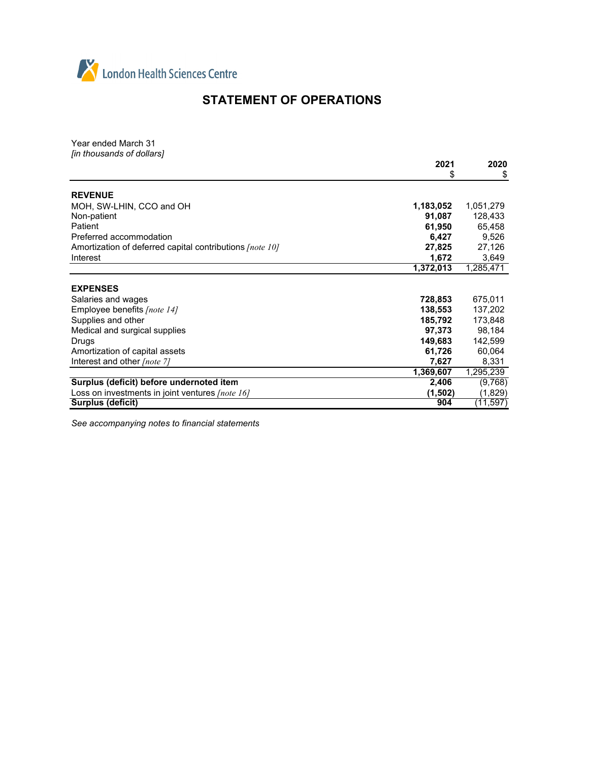

# **STATEMENT OF OPERATIONS**

Year ended March 31 *[in thousands of dollars]*

|                                                                 | 2021      | 2020      |
|-----------------------------------------------------------------|-----------|-----------|
|                                                                 | \$        | \$        |
| <b>REVENUE</b>                                                  |           |           |
| MOH, SW-LHIN, CCO and OH                                        | 1,183,052 | 1,051,279 |
| Non-patient                                                     | 91,087    | 128,433   |
| Patient                                                         | 61,950    | 65,458    |
| Preferred accommodation                                         | 6,427     | 9,526     |
| Amortization of deferred capital contributions <i>[note 10]</i> | 27,825    | 27,126    |
| Interest                                                        | 1,672     | 3,649     |
|                                                                 | 1,372,013 | 1,285,471 |
| <b>EXPENSES</b>                                                 |           |           |
| Salaries and wages                                              | 728,853   | 675,011   |
| Employee benefits [note 14]                                     | 138,553   | 137,202   |
| Supplies and other                                              | 185,792   | 173,848   |
| Medical and surgical supplies                                   | 97,373    | 98,184    |
| Drugs                                                           | 149,683   | 142,599   |
| Amortization of capital assets                                  | 61,726    | 60,064    |
| Interest and other <i>[note 7]</i>                              | 7,627     | 8,331     |
|                                                                 | 1,369,607 | 1,295,239 |
| Surplus (deficit) before undernoted item                        | 2,406     | (9,768)   |
| Loss on investments in joint ventures <i>[note 16]</i>          | (1,502)   | (1,829)   |
| Surplus (deficit)                                               | 904       | (11, 597) |

*See accompanying notes to financial statements*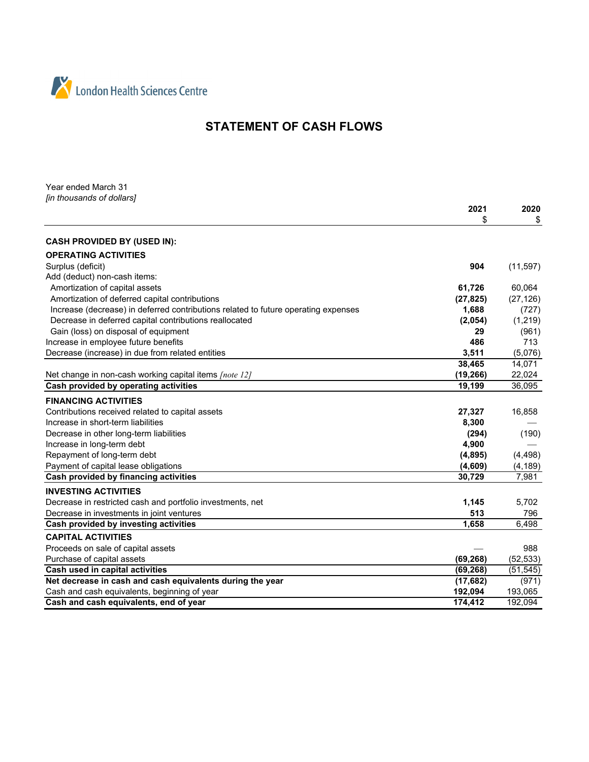

# **STATEMENT OF CASH FLOWS**

Year ended March 31 *[in thousands of dollars]*

|                                                                                    | 2021      | 2020      |
|------------------------------------------------------------------------------------|-----------|-----------|
|                                                                                    | \$        | \$        |
| <b>CASH PROVIDED BY (USED IN):</b>                                                 |           |           |
| <b>OPERATING ACTIVITIES</b>                                                        |           |           |
| Surplus (deficit)                                                                  | 904       | (11, 597) |
| Add (deduct) non-cash items:                                                       |           |           |
| Amortization of capital assets                                                     | 61,726    | 60.064    |
| Amortization of deferred capital contributions                                     | (27, 825) | (27, 126) |
| Increase (decrease) in deferred contributions related to future operating expenses | 1,688     | (727)     |
| Decrease in deferred capital contributions reallocated                             | (2,054)   | (1,219)   |
| Gain (loss) on disposal of equipment                                               | 29        | (961)     |
| Increase in employee future benefits                                               | 486       | 713       |
| Decrease (increase) in due from related entities                                   | 3,511     | (5,076)   |
|                                                                                    | 38,465    | 14,071    |
| Net change in non-cash working capital items [note 12]                             | (19, 266) | 22,024    |
| Cash provided by operating activities                                              | 19,199    | 36,095    |
| <b>FINANCING ACTIVITIES</b>                                                        |           |           |
| Contributions received related to capital assets                                   | 27,327    | 16,858    |
| Increase in short-term liabilities                                                 | 8,300     |           |
| Decrease in other long-term liabilities                                            | (294)     | (190)     |
| Increase in long-term debt                                                         | 4,900     |           |
| Repayment of long-term debt                                                        | (4,895)   | (4, 498)  |
| Payment of capital lease obligations                                               | (4,609)   | (4, 189)  |
| Cash provided by financing activities                                              | 30,729    | 7,981     |
| <b>INVESTING ACTIVITIES</b>                                                        |           |           |
| Decrease in restricted cash and portfolio investments, net                         | 1,145     | 5,702     |
| Decrease in investments in joint ventures                                          | 513       | 796       |
| Cash provided by investing activities                                              | 1,658     | 6,498     |
| <b>CAPITAL ACTIVITIES</b>                                                          |           |           |
| Proceeds on sale of capital assets                                                 |           | 988       |
| Purchase of capital assets                                                         | (69, 268) | (52, 533) |
| Cash used in capital activities                                                    | (69, 268) | (51, 545) |
| Net decrease in cash and cash equivalents during the year                          | (17,682)  | (971)     |
| Cash and cash equivalents, beginning of year                                       | 192,094   | 193,065   |
| Cash and cash equivalents, end of year                                             | 174,412   | 192,094   |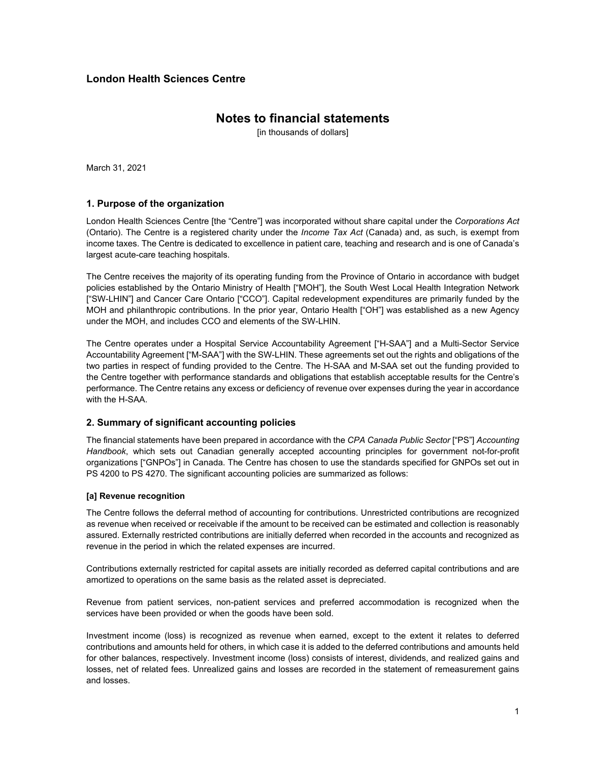# **Notes to financial statements**

[in thousands of dollars]

March 31, 2021

#### **1. Purpose of the organization**

London Health Sciences Centre [the "Centre"] was incorporated without share capital under the *Corporations Act*  (Ontario). The Centre is a registered charity under the *Income Tax Act* (Canada) and, as such, is exempt from income taxes. The Centre is dedicated to excellence in patient care, teaching and research and is one of Canada's largest acute-care teaching hospitals.

The Centre receives the majority of its operating funding from the Province of Ontario in accordance with budget policies established by the Ontario Ministry of Health ["MOH"], the South West Local Health Integration Network ["SW-LHIN"] and Cancer Care Ontario ["CCO"]. Capital redevelopment expenditures are primarily funded by the MOH and philanthropic contributions. In the prior year, Ontario Health ["OH"] was established as a new Agency under the MOH, and includes CCO and elements of the SW-LHIN.

The Centre operates under a Hospital Service Accountability Agreement ["H-SAA"] and a Multi-Sector Service Accountability Agreement ["M-SAA"] with the SW-LHIN. These agreements set out the rights and obligations of the two parties in respect of funding provided to the Centre. The H-SAA and M-SAA set out the funding provided to the Centre together with performance standards and obligations that establish acceptable results for the Centre's performance. The Centre retains any excess or deficiency of revenue over expenses during the year in accordance with the H-SAA.

#### **2. Summary of significant accounting policies**

The financial statements have been prepared in accordance with the *CPA Canada Public Sector* ["PS"] *Accounting Handbook*, which sets out Canadian generally accepted accounting principles for government not-for-profit organizations ["GNPOs"] in Canada. The Centre has chosen to use the standards specified for GNPOs set out in PS 4200 to PS 4270. The significant accounting policies are summarized as follows:

#### **[a] Revenue recognition**

The Centre follows the deferral method of accounting for contributions. Unrestricted contributions are recognized as revenue when received or receivable if the amount to be received can be estimated and collection is reasonably assured. Externally restricted contributions are initially deferred when recorded in the accounts and recognized as revenue in the period in which the related expenses are incurred.

Contributions externally restricted for capital assets are initially recorded as deferred capital contributions and are amortized to operations on the same basis as the related asset is depreciated.

Revenue from patient services, non-patient services and preferred accommodation is recognized when the services have been provided or when the goods have been sold.

Investment income (loss) is recognized as revenue when earned, except to the extent it relates to deferred contributions and amounts held for others, in which case it is added to the deferred contributions and amounts held for other balances, respectively. Investment income (loss) consists of interest, dividends, and realized gains and losses, net of related fees. Unrealized gains and losses are recorded in the statement of remeasurement gains and losses.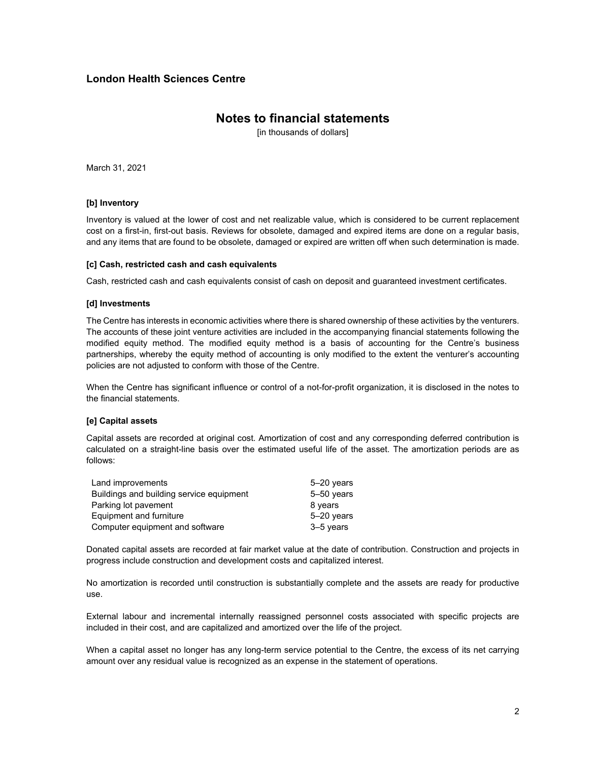# **Notes to financial statements**

[in thousands of dollars]

March 31, 2021

#### **[b] Inventory**

Inventory is valued at the lower of cost and net realizable value, which is considered to be current replacement cost on a first-in, first-out basis. Reviews for obsolete, damaged and expired items are done on a regular basis, and any items that are found to be obsolete, damaged or expired are written off when such determination is made.

#### **[c] Cash, restricted cash and cash equivalents**

Cash, restricted cash and cash equivalents consist of cash on deposit and guaranteed investment certificates.

#### **[d] Investments**

The Centre has interests in economic activities where there is shared ownership of these activities by the venturers. The accounts of these joint venture activities are included in the accompanying financial statements following the modified equity method. The modified equity method is a basis of accounting for the Centre's business partnerships, whereby the equity method of accounting is only modified to the extent the venturer's accounting policies are not adjusted to conform with those of the Centre.

When the Centre has significant influence or control of a not-for-profit organization, it is disclosed in the notes to the financial statements.

#### **[e] Capital assets**

Capital assets are recorded at original cost. Amortization of cost and any corresponding deferred contribution is calculated on a straight-line basis over the estimated useful life of the asset. The amortization periods are as follows:

| Land improvements                        | 5-20 years     |
|------------------------------------------|----------------|
| Buildings and building service equipment | 5-50 years     |
| Parking lot pavement                     | 8 years        |
| Equipment and furniture                  | $5 - 20$ years |
| Computer equipment and software          | 3-5 years      |

Donated capital assets are recorded at fair market value at the date of contribution. Construction and projects in progress include construction and development costs and capitalized interest.

No amortization is recorded until construction is substantially complete and the assets are ready for productive use.

External labour and incremental internally reassigned personnel costs associated with specific projects are included in their cost, and are capitalized and amortized over the life of the project.

When a capital asset no longer has any long-term service potential to the Centre, the excess of its net carrying amount over any residual value is recognized as an expense in the statement of operations.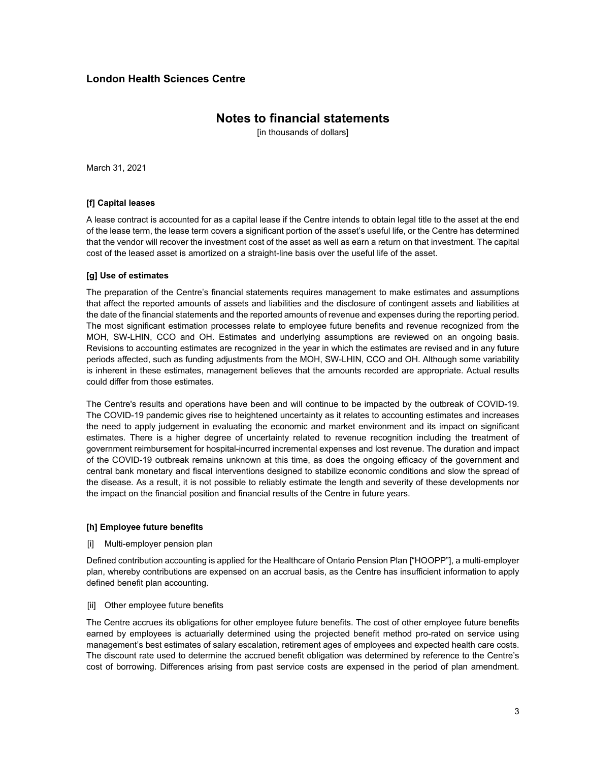# **Notes to financial statements**

[in thousands of dollars]

March 31, 2021

#### **[f] Capital leases**

A lease contract is accounted for as a capital lease if the Centre intends to obtain legal title to the asset at the end of the lease term, the lease term covers a significant portion of the asset's useful life, or the Centre has determined that the vendor will recover the investment cost of the asset as well as earn a return on that investment. The capital cost of the leased asset is amortized on a straight-line basis over the useful life of the asset.

#### **[g] Use of estimates**

The preparation of the Centre's financial statements requires management to make estimates and assumptions that affect the reported amounts of assets and liabilities and the disclosure of contingent assets and liabilities at the date of the financial statements and the reported amounts of revenue and expenses during the reporting period. The most significant estimation processes relate to employee future benefits and revenue recognized from the MOH, SW-LHIN, CCO and OH. Estimates and underlying assumptions are reviewed on an ongoing basis. Revisions to accounting estimates are recognized in the year in which the estimates are revised and in any future periods affected, such as funding adjustments from the MOH, SW-LHIN, CCO and OH. Although some variability is inherent in these estimates, management believes that the amounts recorded are appropriate. Actual results could differ from those estimates.

The Centre's results and operations have been and will continue to be impacted by the outbreak of COVID-19. The COVID-19 pandemic gives rise to heightened uncertainty as it relates to accounting estimates and increases the need to apply judgement in evaluating the economic and market environment and its impact on significant estimates. There is a higher degree of uncertainty related to revenue recognition including the treatment of government reimbursement for hospital-incurred incremental expenses and lost revenue. The duration and impact of the COVID-19 outbreak remains unknown at this time, as does the ongoing efficacy of the government and central bank monetary and fiscal interventions designed to stabilize economic conditions and slow the spread of the disease. As a result, it is not possible to reliably estimate the length and severity of these developments nor the impact on the financial position and financial results of the Centre in future years.

#### **[h] Employee future benefits**

#### [i] Multi-employer pension plan

Defined contribution accounting is applied for the Healthcare of Ontario Pension Plan ["HOOPP"], a multi-employer plan, whereby contributions are expensed on an accrual basis, as the Centre has insufficient information to apply defined benefit plan accounting.

[ii] Other employee future benefits

The Centre accrues its obligations for other employee future benefits. The cost of other employee future benefits earned by employees is actuarially determined using the projected benefit method pro-rated on service using management's best estimates of salary escalation, retirement ages of employees and expected health care costs. The discount rate used to determine the accrued benefit obligation was determined by reference to the Centre's cost of borrowing. Differences arising from past service costs are expensed in the period of plan amendment.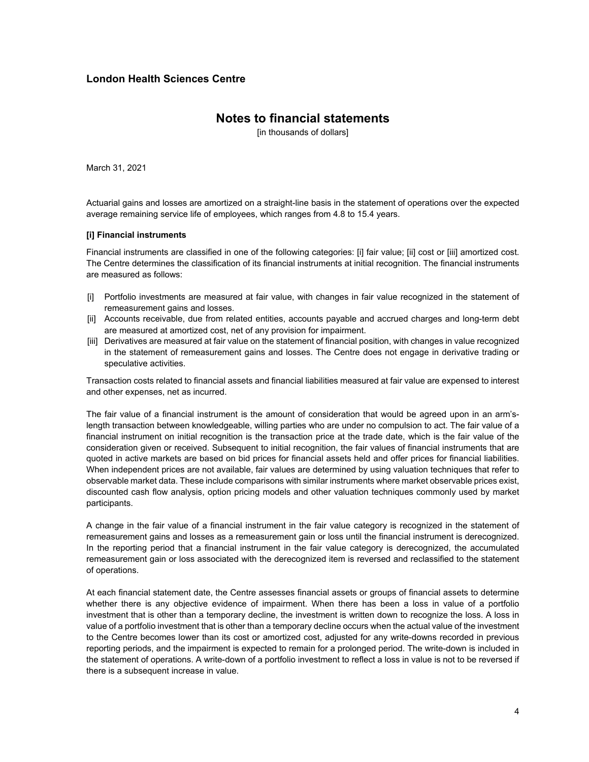# **Notes to financial statements**

[in thousands of dollars]

March 31, 2021

Actuarial gains and losses are amortized on a straight-line basis in the statement of operations over the expected average remaining service life of employees, which ranges from 4.8 to 15.4 years.

#### **[i] Financial instruments**

Financial instruments are classified in one of the following categories: [i] fair value; [ii] cost or [iii] amortized cost. The Centre determines the classification of its financial instruments at initial recognition. The financial instruments are measured as follows:

- [i] Portfolio investments are measured at fair value, with changes in fair value recognized in the statement of remeasurement gains and losses.
- [ii] Accounts receivable, due from related entities, accounts payable and accrued charges and long-term debt are measured at amortized cost, net of any provision for impairment.
- [iii] Derivatives are measured at fair value on the statement of financial position, with changes in value recognized in the statement of remeasurement gains and losses. The Centre does not engage in derivative trading or speculative activities.

Transaction costs related to financial assets and financial liabilities measured at fair value are expensed to interest and other expenses, net as incurred.

The fair value of a financial instrument is the amount of consideration that would be agreed upon in an arm'slength transaction between knowledgeable, willing parties who are under no compulsion to act. The fair value of a financial instrument on initial recognition is the transaction price at the trade date, which is the fair value of the consideration given or received. Subsequent to initial recognition, the fair values of financial instruments that are quoted in active markets are based on bid prices for financial assets held and offer prices for financial liabilities. When independent prices are not available, fair values are determined by using valuation techniques that refer to observable market data. These include comparisons with similar instruments where market observable prices exist, discounted cash flow analysis, option pricing models and other valuation techniques commonly used by market participants.

A change in the fair value of a financial instrument in the fair value category is recognized in the statement of remeasurement gains and losses as a remeasurement gain or loss until the financial instrument is derecognized. In the reporting period that a financial instrument in the fair value category is derecognized, the accumulated remeasurement gain or loss associated with the derecognized item is reversed and reclassified to the statement of operations.

At each financial statement date, the Centre assesses financial assets or groups of financial assets to determine whether there is any objective evidence of impairment. When there has been a loss in value of a portfolio investment that is other than a temporary decline, the investment is written down to recognize the loss. A loss in value of a portfolio investment that is other than a temporary decline occurs when the actual value of the investment to the Centre becomes lower than its cost or amortized cost, adjusted for any write-downs recorded in previous reporting periods, and the impairment is expected to remain for a prolonged period. The write-down is included in the statement of operations. A write-down of a portfolio investment to reflect a loss in value is not to be reversed if there is a subsequent increase in value.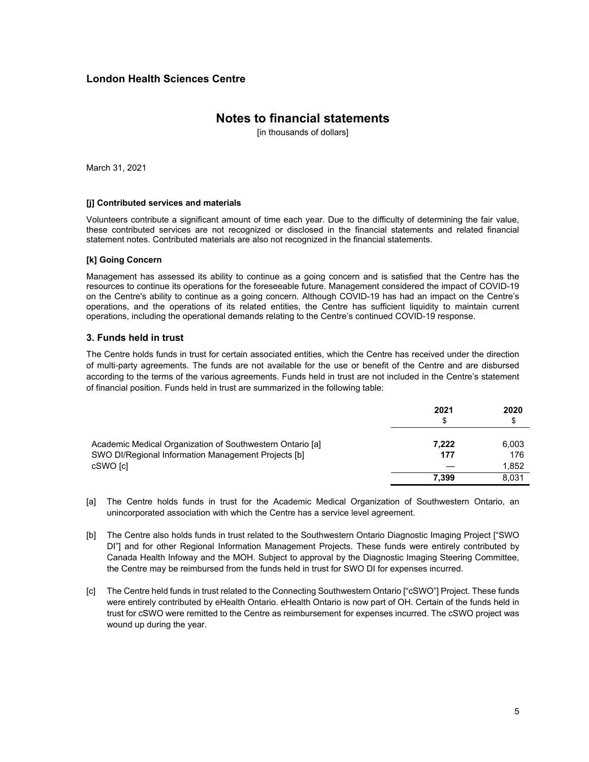# **Notes to financial statements**

[in thousands of dollars]

March 31, 2021

#### **[j] Contributed services and materials**

Volunteers contribute a significant amount of time each year. Due to the difficulty of determining the fair value, these contributed services are not recognized or disclosed in the financial statements and related financial statement notes. Contributed materials are also not recognized in the financial statements.

#### **[k] Going Concern**

Management has assessed its ability to continue as a going concern and is satisfied that the Centre has the resources to continue its operations for the foreseeable future. Management considered the impact of COVID-19 on the Centre's ability to continue as a going concern. Although COVID-19 has had an impact on the Centre's operations, and the operations of its related entities, the Centre has sufficient liquidity to maintain current operations, including the operational demands relating to the Centre's continued COVID-19 response.

#### **3. Funds held in trust**

The Centre holds funds in trust for certain associated entities, which the Centre has received under the direction of multi-party agreements. The funds are not available for the use or benefit of the Centre and are disbursed according to the terms of the various agreements. Funds held in trust are not included in the Centre's statement of financial position. Funds held in trust are summarized in the following table:

|                                                           | 2021<br>S | 2020<br>\$ |
|-----------------------------------------------------------|-----------|------------|
| Academic Medical Organization of Southwestern Ontario [a] | 7.222     | 6,003      |
| SWO DI/Regional Information Management Projects [b]       | 177       | 176        |
| cSWO [c]                                                  |           | 1,852      |
|                                                           | 7.399     | 8.031      |

- [a] The Centre holds funds in trust for the Academic Medical Organization of Southwestern Ontario, an unincorporated association with which the Centre has a service level agreement.
- [b] The Centre also holds funds in trust related to the Southwestern Ontario Diagnostic Imaging Project ["SWO DI"] and for other Regional Information Management Projects. These funds were entirely contributed by Canada Health Infoway and the MOH. Subject to approval by the Diagnostic Imaging Steering Committee, the Centre may be reimbursed from the funds held in trust for SWO DI for expenses incurred.
- [c] The Centre held funds in trust related to the Connecting Southwestern Ontario ["cSWO"] Project. These funds were entirely contributed by eHealth Ontario. eHealth Ontario is now part of OH. Certain of the funds held in trust for cSWO were remitted to the Centre as reimbursement for expenses incurred. The cSWO project was wound up during the year.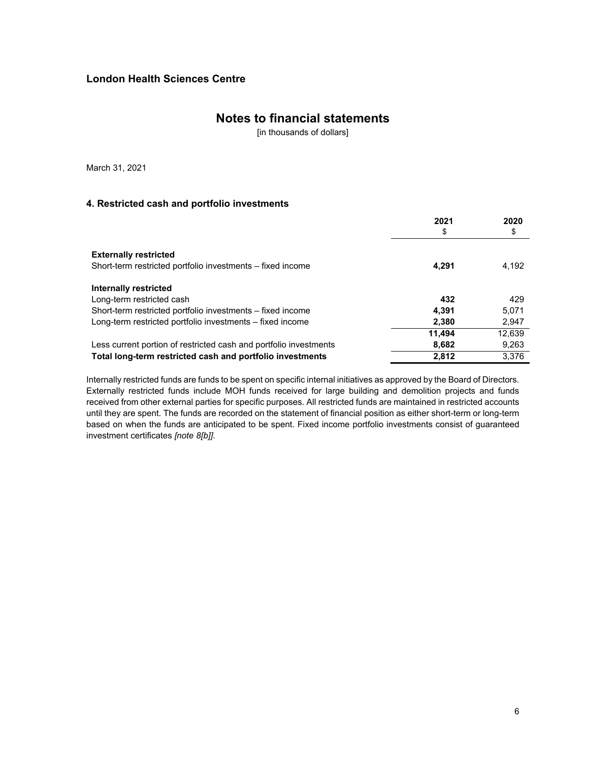# **Notes to financial statements**

[in thousands of dollars]

March 31, 2021

### **4. Restricted cash and portfolio investments**

|                                                                   | 2021   | 2020   |
|-------------------------------------------------------------------|--------|--------|
|                                                                   | \$     | \$     |
| <b>Externally restricted</b>                                      |        |        |
| Short-term restricted portfolio investments – fixed income        | 4,291  | 4,192  |
| Internally restricted                                             |        |        |
| Long-term restricted cash                                         | 432    | 429    |
| Short-term restricted portfolio investments - fixed income        | 4.391  | 5,071  |
| Long-term restricted portfolio investments – fixed income         | 2,380  | 2,947  |
|                                                                   | 11.494 | 12,639 |
| Less current portion of restricted cash and portfolio investments | 8,682  | 9,263  |
| Total long-term restricted cash and portfolio investments         | 2.812  | 3.376  |

Internally restricted funds are funds to be spent on specific internal initiatives as approved by the Board of Directors. Externally restricted funds include MOH funds received for large building and demolition projects and funds received from other external parties for specific purposes. All restricted funds are maintained in restricted accounts until they are spent. The funds are recorded on the statement of financial position as either short-term or long-term based on when the funds are anticipated to be spent. Fixed income portfolio investments consist of guaranteed investment certificates *[note 8[b]]*.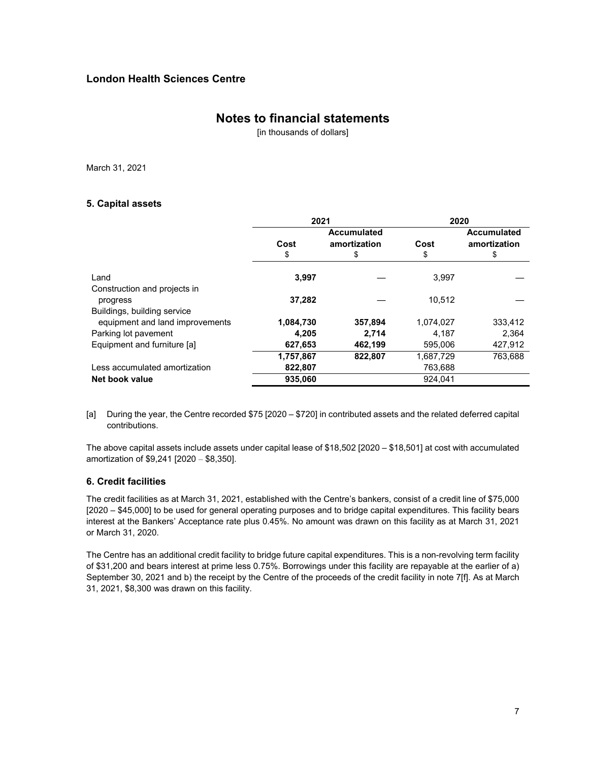# **Notes to financial statements**

[in thousands of dollars]

March 31, 2021

### **5. Capital assets**

|                                 | 2021      |                    | 2020      |                    |
|---------------------------------|-----------|--------------------|-----------|--------------------|
|                                 |           | <b>Accumulated</b> |           | <b>Accumulated</b> |
|                                 | Cost      | amortization       | Cost      | amortization       |
|                                 | \$        | \$                 | \$        | \$                 |
| Land                            | 3,997     |                    | 3,997     |                    |
| Construction and projects in    |           |                    |           |                    |
| progress                        | 37,282    |                    | 10.512    |                    |
| Buildings, building service     |           |                    |           |                    |
| equipment and land improvements | 1,084,730 | 357,894            | 1,074,027 | 333,412            |
| Parking lot pavement            | 4.205     | 2,714              | 4.187     | 2,364              |
| Equipment and furniture [a]     | 627,653   | 462,199            | 595,006   | 427,912            |
|                                 | 1,757,867 | 822,807            | 1,687,729 | 763,688            |
| Less accumulated amortization   | 822,807   |                    | 763,688   |                    |
| Net book value                  | 935,060   |                    | 924,041   |                    |
|                                 |           |                    |           |                    |

[a] During the year, the Centre recorded \$75 [2020 – \$720] in contributed assets and the related deferred capital contributions.

The above capital assets include assets under capital lease of \$18,502 [2020 – \$18,501] at cost with accumulated amortization of \$9,241 [2020 ‒ \$8,350].

### **6. Credit facilities**

The credit facilities as at March 31, 2021, established with the Centre's bankers, consist of a credit line of \$75,000 [2020 – \$45,000] to be used for general operating purposes and to bridge capital expenditures. This facility bears interest at the Bankers' Acceptance rate plus 0.45%. No amount was drawn on this facility as at March 31, 2021 or March 31, 2020.

The Centre has an additional credit facility to bridge future capital expenditures. This is a non-revolving term facility of \$31,200 and bears interest at prime less 0.75%. Borrowings under this facility are repayable at the earlier of a) September 30, 2021 and b) the receipt by the Centre of the proceeds of the credit facility in note 7[f]. As at March 31, 2021, \$8,300 was drawn on this facility.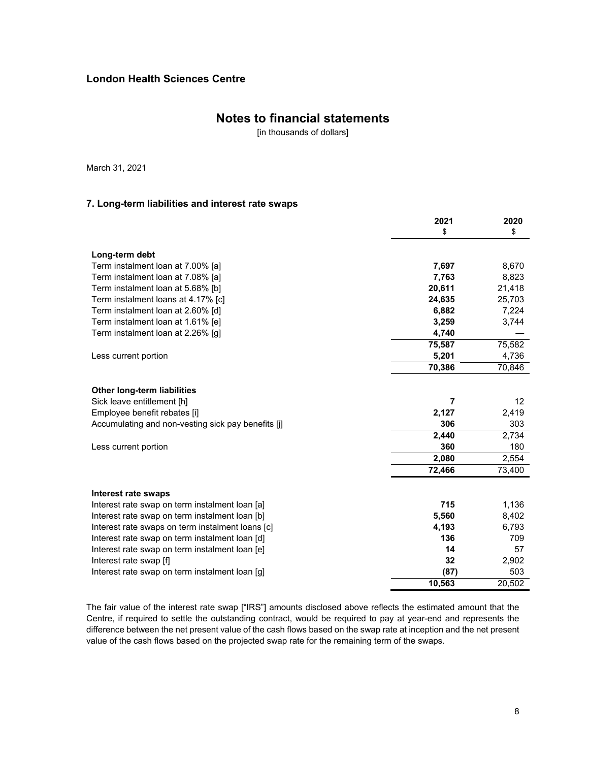# **Notes to financial statements**

[in thousands of dollars]

March 31, 2021

### **7. Long-term liabilities and interest rate swaps**

|                                                    | 2021           | 2020   |
|----------------------------------------------------|----------------|--------|
|                                                    | \$             | \$     |
| Long-term debt                                     |                |        |
| Term instalment loan at 7.00% [a]                  | 7,697          | 8,670  |
| Term instalment loan at 7.08% [a]                  | 7,763          | 8,823  |
| Term instalment loan at 5.68% [b]                  | 20,611         | 21,418 |
| Term instalment loans at 4.17% [c]                 | 24,635         | 25,703 |
| Term instalment loan at 2.60% [d]                  | 6,882          | 7,224  |
| Term instalment loan at 1.61% [e]                  | 3,259          | 3,744  |
| Term instalment loan at 2.26% [g]                  | 4,740          |        |
|                                                    | 75,587         | 75,582 |
|                                                    | 5,201          | 4,736  |
| Less current portion                               |                |        |
|                                                    | 70,386         | 70,846 |
| Other long-term liabilities                        |                |        |
| Sick leave entitlement [h]                         | $\overline{7}$ | 12     |
| Employee benefit rebates [i]                       | 2,127          | 2,419  |
| Accumulating and non-vesting sick pay benefits [j] | 306            | 303    |
|                                                    | 2,440          | 2,734  |
| Less current portion                               | 360            | 180    |
|                                                    | 2,080          | 2,554  |
|                                                    | 72,466         | 73,400 |
| Interest rate swaps                                |                |        |
| Interest rate swap on term instalment loan [a]     | 715            | 1,136  |
| Interest rate swap on term instalment loan [b]     | 5,560          | 8,402  |
| Interest rate swaps on term instalment loans [c]   | 4,193          | 6,793  |
| Interest rate swap on term instalment loan [d]     | 136            | 709    |
| Interest rate swap on term instalment loan [e]     | 14             | 57     |
| Interest rate swap [f]                             | 32             | 2,902  |
| Interest rate swap on term instalment loan [g]     | (87)           | 503    |
|                                                    | 10,563         | 20,502 |
|                                                    |                |        |

The fair value of the interest rate swap ["IRS"] amounts disclosed above reflects the estimated amount that the Centre, if required to settle the outstanding contract, would be required to pay at year-end and represents the difference between the net present value of the cash flows based on the swap rate at inception and the net present value of the cash flows based on the projected swap rate for the remaining term of the swaps.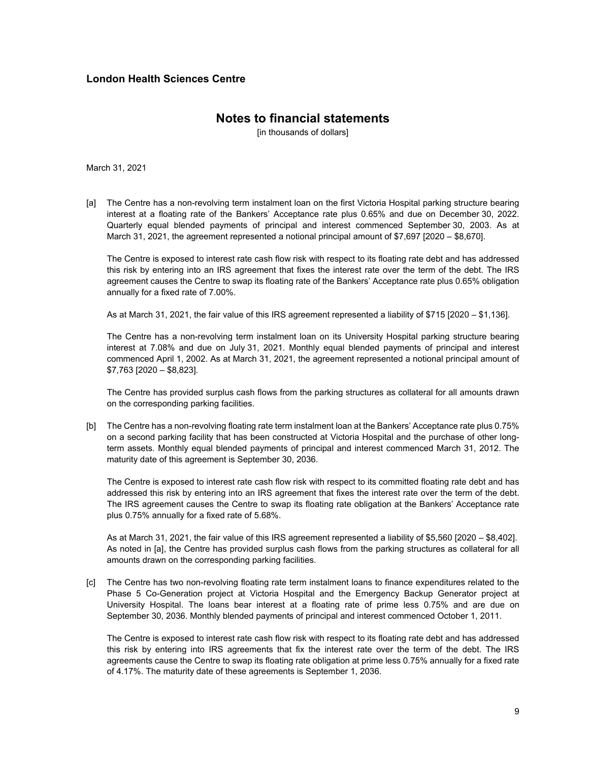## **Notes to financial statements**

[in thousands of dollars]

March 31, 2021

[a] The Centre has a non-revolving term instalment loan on the first Victoria Hospital parking structure bearing interest at a floating rate of the Bankers' Acceptance rate plus 0.65% and due on December 30, 2022. Quarterly equal blended payments of principal and interest commenced September 30, 2003. As at March 31, 2021, the agreement represented a notional principal amount of \$7,697 [2020 – \$8,670].

 The Centre is exposed to interest rate cash flow risk with respect to its floating rate debt and has addressed this risk by entering into an IRS agreement that fixes the interest rate over the term of the debt. The IRS agreement causes the Centre to swap its floating rate of the Bankers' Acceptance rate plus 0.65% obligation annually for a fixed rate of 7.00%.

As at March 31, 2021, the fair value of this IRS agreement represented a liability of \$715 [2020 – \$1,136].

 The Centre has a non-revolving term instalment loan on its University Hospital parking structure bearing interest at 7.08% and due on July 31, 2021. Monthly equal blended payments of principal and interest commenced April 1, 2002. As at March 31, 2021, the agreement represented a notional principal amount of \$7,763 [2020 – \$8,823].

 The Centre has provided surplus cash flows from the parking structures as collateral for all amounts drawn on the corresponding parking facilities.

[b] The Centre has a non-revolving floating rate term instalment loan at the Bankers' Acceptance rate plus 0.75% on a second parking facility that has been constructed at Victoria Hospital and the purchase of other longterm assets. Monthly equal blended payments of principal and interest commenced March 31, 2012. The maturity date of this agreement is September 30, 2036.

 The Centre is exposed to interest rate cash flow risk with respect to its committed floating rate debt and has addressed this risk by entering into an IRS agreement that fixes the interest rate over the term of the debt. The IRS agreement causes the Centre to swap its floating rate obligation at the Bankers' Acceptance rate plus 0.75% annually for a fixed rate of 5.68%.

 As at March 31, 2021, the fair value of this IRS agreement represented a liability of \$5,560 [2020 – \$8,402]. As noted in [a], the Centre has provided surplus cash flows from the parking structures as collateral for all amounts drawn on the corresponding parking facilities.

[c] The Centre has two non-revolving floating rate term instalment loans to finance expenditures related to the Phase 5 Co-Generation project at Victoria Hospital and the Emergency Backup Generator project at University Hospital. The loans bear interest at a floating rate of prime less 0.75% and are due on September 30, 2036. Monthly blended payments of principal and interest commenced October 1, 2011.

 The Centre is exposed to interest rate cash flow risk with respect to its floating rate debt and has addressed this risk by entering into IRS agreements that fix the interest rate over the term of the debt. The IRS agreements cause the Centre to swap its floating rate obligation at prime less 0.75% annually for a fixed rate of 4.17%. The maturity date of these agreements is September 1, 2036.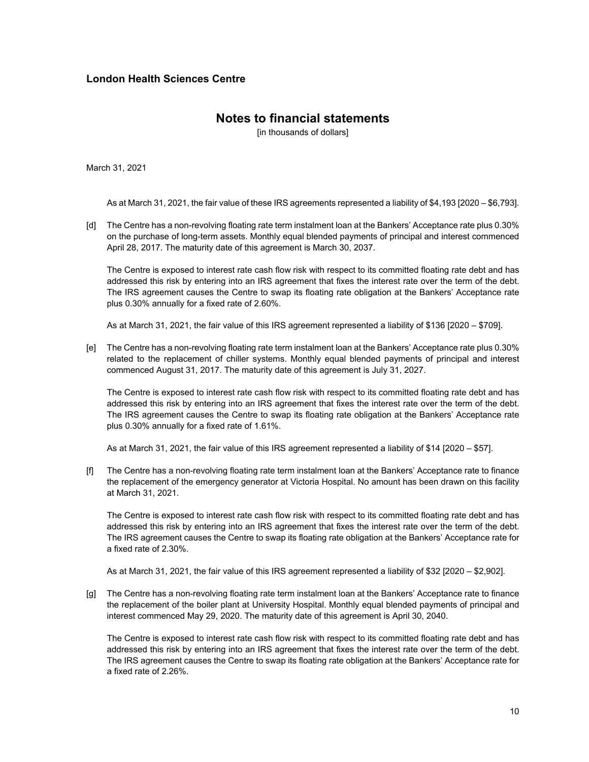# **Notes to financial statements**

[in thousands of dollars]

March 31, 2021

As at March 31, 2021, the fair value of these IRS agreements represented a liability of \$4,193 [2020 – \$6,793].

[d] The Centre has a non-revolving floating rate term instalment loan at the Bankers' Acceptance rate plus 0.30% on the purchase of long-term assets. Monthly equal blended payments of principal and interest commenced April 28, 2017. The maturity date of this agreement is March 30, 2037.

 The Centre is exposed to interest rate cash flow risk with respect to its committed floating rate debt and has addressed this risk by entering into an IRS agreement that fixes the interest rate over the term of the debt. The IRS agreement causes the Centre to swap its floating rate obligation at the Bankers' Acceptance rate plus 0.30% annually for a fixed rate of 2.60%.

As at March 31, 2021, the fair value of this IRS agreement represented a liability of \$136 [2020 – \$709].

[e] The Centre has a non-revolving floating rate term instalment loan at the Bankers' Acceptance rate plus 0.30% related to the replacement of chiller systems. Monthly equal blended payments of principal and interest commenced August 31, 2017. The maturity date of this agreement is July 31, 2027.

The Centre is exposed to interest rate cash flow risk with respect to its committed floating rate debt and has addressed this risk by entering into an IRS agreement that fixes the interest rate over the term of the debt. The IRS agreement causes the Centre to swap its floating rate obligation at the Bankers' Acceptance rate plus 0.30% annually for a fixed rate of 1.61%.

As at March 31, 2021, the fair value of this IRS agreement represented a liability of \$14 [2020 – \$57].

[f] The Centre has a non-revolving floating rate term instalment loan at the Bankers' Acceptance rate to finance the replacement of the emergency generator at Victoria Hospital. No amount has been drawn on this facility at March 31, 2021.

The Centre is exposed to interest rate cash flow risk with respect to its committed floating rate debt and has addressed this risk by entering into an IRS agreement that fixes the interest rate over the term of the debt. The IRS agreement causes the Centre to swap its floating rate obligation at the Bankers' Acceptance rate for a fixed rate of 2.30%.

As at March 31, 2021, the fair value of this IRS agreement represented a liability of \$32 [2020 – \$2,902].

[g] The Centre has a non-revolving floating rate term instalment loan at the Bankers' Acceptance rate to finance the replacement of the boiler plant at University Hospital. Monthly equal blended payments of principal and interest commenced May 29, 2020. The maturity date of this agreement is April 30, 2040.

The Centre is exposed to interest rate cash flow risk with respect to its committed floating rate debt and has addressed this risk by entering into an IRS agreement that fixes the interest rate over the term of the debt. The IRS agreement causes the Centre to swap its floating rate obligation at the Bankers' Acceptance rate for a fixed rate of 2.26%.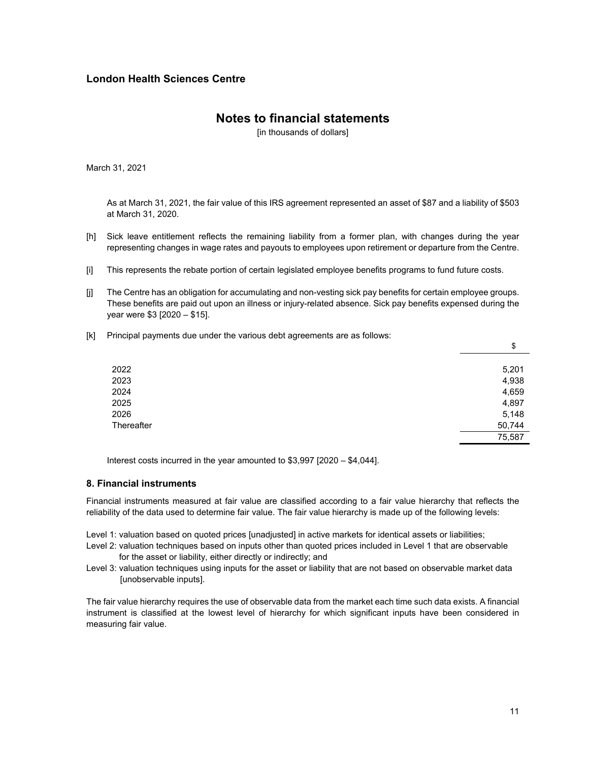# **Notes to financial statements**

[in thousands of dollars]

March 31, 2021

 As at March 31, 2021, the fair value of this IRS agreement represented an asset of \$87 and a liability of \$503 at March 31, 2020.

- [h] Sick leave entitlement reflects the remaining liability from a former plan, with changes during the year representing changes in wage rates and payouts to employees upon retirement or departure from the Centre.
- [i] This represents the rebate portion of certain legislated employee benefits programs to fund future costs.
- [j] The Centre has an obligation for accumulating and non-vesting sick pay benefits for certain employee groups. These benefits are paid out upon an illness or injury-related absence. Sick pay benefits expensed during the year were \$3 [2020 – \$15].
- [k] Principal payments due under the various debt agreements are as follows:

|            | \$     |
|------------|--------|
|            |        |
| 2022       | 5,201  |
| 2023       | 4,938  |
| 2024       | 4,659  |
| 2025       | 4,897  |
| 2026       | 5,148  |
| Thereafter | 50,744 |
|            | 75,587 |

Interest costs incurred in the year amounted to \$3,997 [2020 – \$4,044].

#### **8. Financial instruments**

Financial instruments measured at fair value are classified according to a fair value hierarchy that reflects the reliability of the data used to determine fair value. The fair value hierarchy is made up of the following levels:

Level 1: valuation based on quoted prices [unadjusted] in active markets for identical assets or liabilities;

- Level 2: valuation techniques based on inputs other than quoted prices included in Level 1 that are observable for the asset or liability, either directly or indirectly; and
- Level 3: valuation techniques using inputs for the asset or liability that are not based on observable market data [unobservable inputs].

The fair value hierarchy requires the use of observable data from the market each time such data exists. A financial instrument is classified at the lowest level of hierarchy for which significant inputs have been considered in measuring fair value.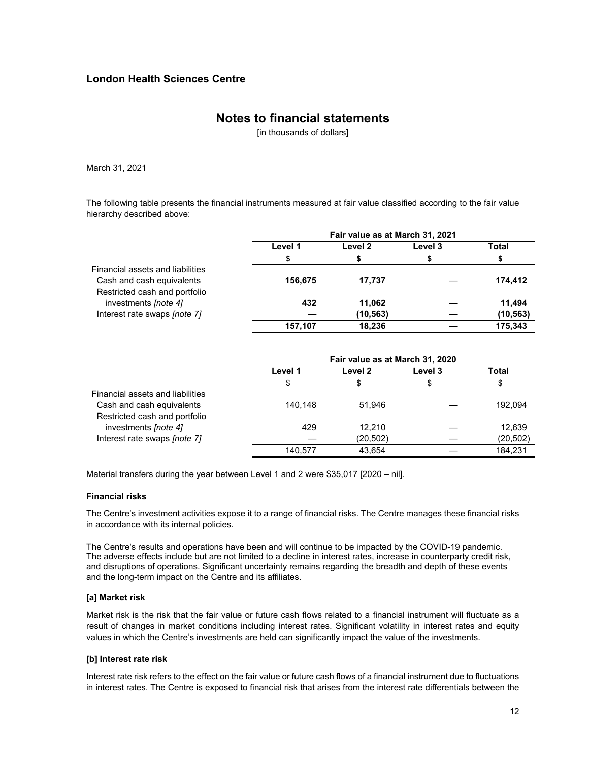# **Notes to financial statements**

[in thousands of dollars]

March 31, 2021

The following table presents the financial instruments measured at fair value classified according to the fair value hierarchy described above:

|                                     | Fair value as at March 31, 2021 |           |         |           |
|-------------------------------------|---------------------------------|-----------|---------|-----------|
|                                     | Level 1                         | Level 2   | Level 3 | Total     |
|                                     |                                 |           | S       |           |
| Financial assets and liabilities    |                                 |           |         |           |
| Cash and cash equivalents           | 156.675                         | 17.737    |         | 174.412   |
| Restricted cash and portfolio       |                                 |           |         |           |
| investments [note 4]                | 432                             | 11,062    |         | 11.494    |
| Interest rate swaps <i>[note 7]</i> |                                 | (10, 563) |         | (10, 563) |
|                                     | 157.107                         | 18.236    |         | 175.343   |

|                                  |         | Fair value as at March 31, 2020 |         |          |
|----------------------------------|---------|---------------------------------|---------|----------|
|                                  | Level 1 | Level 2                         | Level 3 | Total    |
|                                  | \$      |                                 |         | \$       |
| Financial assets and liabilities |         |                                 |         |          |
| Cash and cash equivalents        | 140.148 | 51.946                          |         | 192.094  |
| Restricted cash and portfolio    |         |                                 |         |          |
| investments [note 4]             | 429     | 12.210                          |         | 12.639   |
| Interest rate swaps [note 7]     |         | (20, 502)                       |         | (20,502) |
|                                  | 140.577 | 43.654                          |         | 184.231  |

Material transfers during the year between Level 1 and 2 were \$35,017 [2020 – nil].

#### **Financial risks**

The Centre's investment activities expose it to a range of financial risks. The Centre manages these financial risks in accordance with its internal policies.

The Centre's results and operations have been and will continue to be impacted by the COVID-19 pandemic. The adverse effects include but are not limited to a decline in interest rates, increase in counterparty credit risk, and disruptions of operations. Significant uncertainty remains regarding the breadth and depth of these events and the long-term impact on the Centre and its affiliates.

#### **[a] Market risk**

Market risk is the risk that the fair value or future cash flows related to a financial instrument will fluctuate as a result of changes in market conditions including interest rates. Significant volatility in interest rates and equity values in which the Centre's investments are held can significantly impact the value of the investments.

#### **[b] Interest rate risk**

Interest rate risk refers to the effect on the fair value or future cash flows of a financial instrument due to fluctuations in interest rates. The Centre is exposed to financial risk that arises from the interest rate differentials between the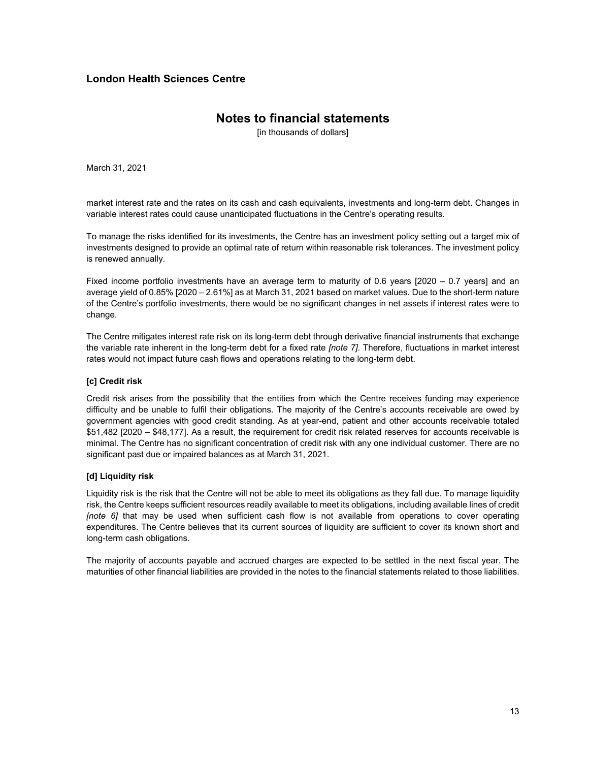# **Notes to financial statements**

[in thousands of dollars]

March 31, 2021

market interest rate and the rates on its cash and cash equivalents, investments and long-term debt. Changes in variable interest rates could cause unanticipated fluctuations in the Centre's operating results.

To manage the risks identified for its investments, the Centre has an investment policy setting out a target mix of investments designed to provide an optimal rate of return within reasonable risk tolerances. The investment policy is renewed annually.

Fixed income portfolio investments have an average term to maturity of 0.6 years [2020 – 0.7 years] and an average yield of 0.85% [2020 – 2.61%] as at March 31, 2021 based on market values. Due to the short-term nature of the Centre's portfolio investments, there would be no significant changes in net assets if interest rates were to change.

The Centre mitigates interest rate risk on its long-term debt through derivative financial instruments that exchange the variable rate inherent in the long-term debt for a fixed rate *[note 7]*. Therefore, fluctuations in market interest rates would not impact future cash flows and operations relating to the long-term debt.

#### **[c] Credit risk**

Credit risk arises from the possibility that the entities from which the Centre receives funding may experience difficulty and be unable to fulfil their obligations. The majority of the Centre's accounts receivable are owed by government agencies with good credit standing. As at year-end, patient and other accounts receivable totaled \$51,482 [2020 – \$48,177]. As a result, the requirement for credit risk related reserves for accounts receivable is minimal. The Centre has no significant concentration of credit risk with any one individual customer. There are no significant past due or impaired balances as at March 31, 2021.

#### **[d] Liquidity risk**

Liquidity risk is the risk that the Centre will not be able to meet its obligations as they fall due. To manage liquidity risk, the Centre keeps sufficient resources readily available to meet its obligations, including available lines of credit *[note 6]* that may be used when sufficient cash flow is not available from operations to cover operating expenditures. The Centre believes that its current sources of liquidity are sufficient to cover its known short and long-term cash obligations.

The majority of accounts payable and accrued charges are expected to be settled in the next fiscal year. The maturities of other financial liabilities are provided in the notes to the financial statements related to those liabilities.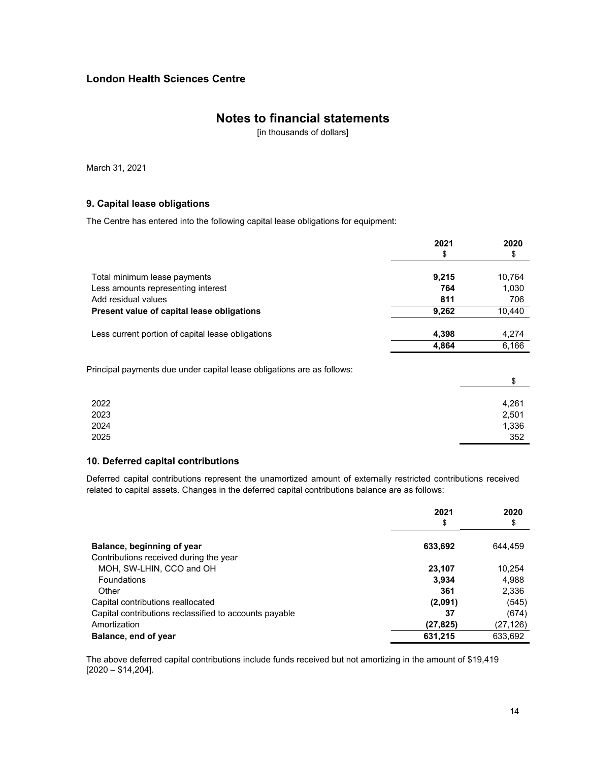# **Notes to financial statements**

[in thousands of dollars]

March 31, 2021

#### **9. Capital lease obligations**

The Centre has entered into the following capital lease obligations for equipment:

|                                                   | 2021<br>\$ | 2020<br>\$ |
|---------------------------------------------------|------------|------------|
| Total minimum lease payments                      | 9,215      | 10,764     |
| Less amounts representing interest                | 764        | 1,030      |
| Add residual values                               | 811        | 706        |
| Present value of capital lease obligations        | 9,262      | 10,440     |
| Less current portion of capital lease obligations | 4,398      | 4,274      |
|                                                   | 4,864      | 6,166      |
|                                                   |            |            |

Principal payments due under capital lease obligations are as follows:

|      | \$    |
|------|-------|
|      |       |
| 2022 | 4,261 |
| 2023 | 2,501 |
| 2024 | 1,336 |
| 2025 | 352   |

#### **10. Deferred capital contributions**

Deferred capital contributions represent the unamortized amount of externally restricted contributions received related to capital assets. Changes in the deferred capital contributions balance are as follows:

|                                                        | 2021      | 2020      |
|--------------------------------------------------------|-----------|-----------|
|                                                        | \$        | \$        |
| Balance, beginning of year                             | 633,692   | 644.459   |
| Contributions received during the year                 |           |           |
| MOH, SW-LHIN, CCO and OH                               | 23,107    | 10,254    |
| Foundations                                            | 3,934     | 4,988     |
| Other                                                  | 361       | 2,336     |
| Capital contributions reallocated                      | (2,091)   | (545)     |
| Capital contributions reclassified to accounts payable | 37        | (674)     |
| Amortization                                           | (27, 825) | (27, 126) |
| Balance, end of year                                   | 631,215   | 633,692   |

The above deferred capital contributions include funds received but not amortizing in the amount of \$19,419 [2020 – \$14,204].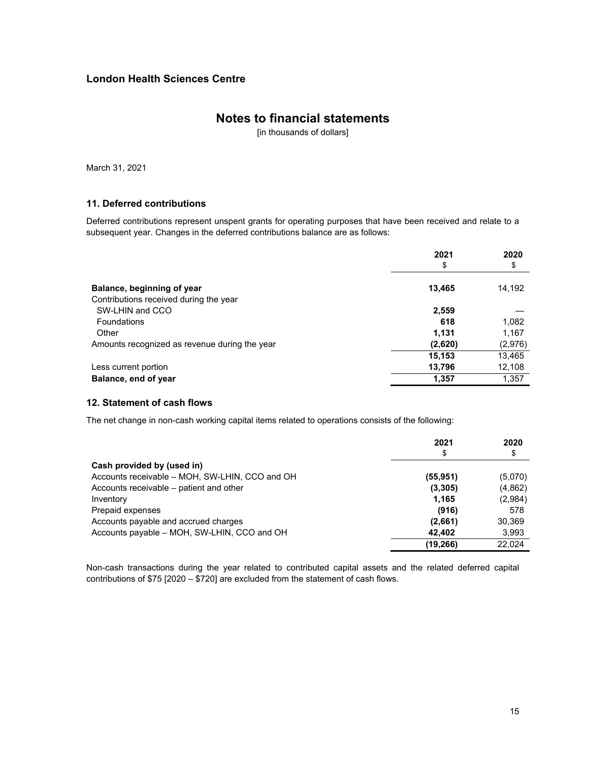# **Notes to financial statements**

[in thousands of dollars]

March 31, 2021

#### **11. Deferred contributions**

Deferred contributions represent unspent grants for operating purposes that have been received and relate to a subsequent year. Changes in the deferred contributions balance are as follows:

|                                                                      | 2021<br>\$        | 2020<br>\$        |
|----------------------------------------------------------------------|-------------------|-------------------|
| Balance, beginning of year<br>Contributions received during the year | 13,465            | 14,192            |
| SW-LHIN and CCO                                                      | 2,559             |                   |
| Foundations<br>Other                                                 | 618<br>1.131      | 1,082<br>1,167    |
| Amounts recognized as revenue during the year                        | (2,620)<br>15,153 | (2,976)<br>13,465 |
| Less current portion<br>Balance, end of year                         | 13,796<br>1,357   | 12,108<br>1,357   |

### **12. Statement of cash flows**

The net change in non-cash working capital items related to operations consists of the following:

|                                                | 2021<br>\$ | 2020<br>\$ |
|------------------------------------------------|------------|------------|
| Cash provided by (used in)                     |            |            |
| Accounts receivable – MOH, SW-LHIN, CCO and OH | (55, 951)  | (5,070)    |
| Accounts receivable – patient and other        | (3, 305)   | (4,862)    |
| Inventory                                      | 1.165      | (2,984)    |
| Prepaid expenses                               | (916)      | 578        |
| Accounts payable and accrued charges           | (2,661)    | 30,369     |
| Accounts payable – MOH, SW-LHIN, CCO and OH    | 42.402     | 3,993      |
|                                                | (19,266)   | 22.024     |

Non-cash transactions during the year related to contributed capital assets and the related deferred capital contributions of \$75 [2020 – \$720] are excluded from the statement of cash flows.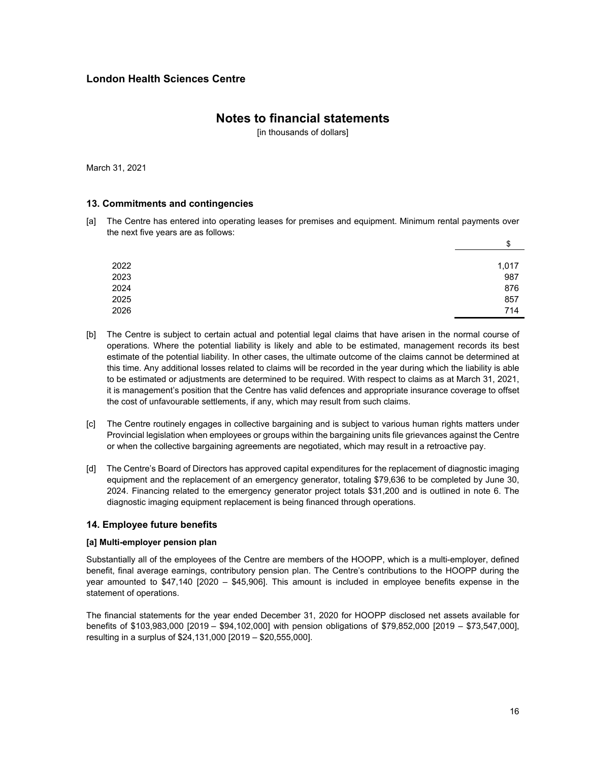# **Notes to financial statements**

[in thousands of dollars]

March 31, 2021

#### **13. Commitments and contingencies**

[a] The Centre has entered into operating leases for premises and equipment. Minimum rental payments over the next five years are as follows:

| 2022<br>2023 | \$    |
|--------------|-------|
|              |       |
|              | 1,017 |
|              | 987   |
| 2024         | 876   |
| 2025         | 857   |
| 2026         | 714   |

- [b] The Centre is subject to certain actual and potential legal claims that have arisen in the normal course of operations. Where the potential liability is likely and able to be estimated, management records its best estimate of the potential liability. In other cases, the ultimate outcome of the claims cannot be determined at this time. Any additional losses related to claims will be recorded in the year during which the liability is able to be estimated or adjustments are determined to be required. With respect to claims as at March 31, 2021, it is management's position that the Centre has valid defences and appropriate insurance coverage to offset the cost of unfavourable settlements, if any, which may result from such claims.
- [c] The Centre routinely engages in collective bargaining and is subject to various human rights matters under Provincial legislation when employees or groups within the bargaining units file grievances against the Centre or when the collective bargaining agreements are negotiated, which may result in a retroactive pay.
- [d] The Centre's Board of Directors has approved capital expenditures for the replacement of diagnostic imaging equipment and the replacement of an emergency generator, totaling \$79,636 to be completed by June 30, 2024. Financing related to the emergency generator project totals \$31,200 and is outlined in note 6. The diagnostic imaging equipment replacement is being financed through operations.

#### **14. Employee future benefits**

#### **[a] Multi-employer pension plan**

Substantially all of the employees of the Centre are members of the HOOPP, which is a multi-employer, defined benefit, final average earnings, contributory pension plan. The Centre's contributions to the HOOPP during the year amounted to \$47,140 [2020 – \$45,906]. This amount is included in employee benefits expense in the statement of operations.

The financial statements for the year ended December 31, 2020 for HOOPP disclosed net assets available for benefits of \$103,983,000 [2019 – \$94,102,000] with pension obligations of \$79,852,000 [2019 – \$73,547,000], resulting in a surplus of \$24,131,000 [2019 – \$20,555,000].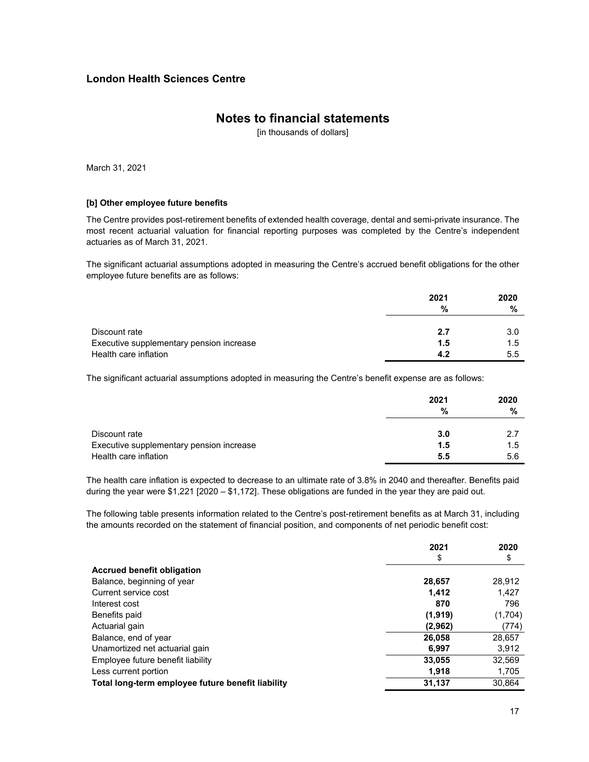# **Notes to financial statements**

[in thousands of dollars]

March 31, 2021

#### **[b] Other employee future benefits**

The Centre provides post-retirement benefits of extended health coverage, dental and semi-private insurance. The most recent actuarial valuation for financial reporting purposes was completed by the Centre's independent actuaries as of March 31, 2021.

The significant actuarial assumptions adopted in measuring the Centre's accrued benefit obligations for the other employee future benefits are as follows:

|                                          | 2021 | 2020 |
|------------------------------------------|------|------|
|                                          | %    | %    |
|                                          |      |      |
| Discount rate                            | 2.7  | 3.0  |
| Executive supplementary pension increase | 1.5  | 1.5  |
| Health care inflation                    | 4.2  | 5.5  |

The significant actuarial assumptions adopted in measuring the Centre's benefit expense are as follows:

|                                          | 2021<br>% | 2020<br>% |
|------------------------------------------|-----------|-----------|
| Discount rate                            | 3.0       | 2.7       |
| Executive supplementary pension increase | 1.5       | 1.5       |
| Health care inflation                    | 5.5       | 5.6       |

The health care inflation is expected to decrease to an ultimate rate of 3.8% in 2040 and thereafter. Benefits paid during the year were \$1,221 [2020 – \$1,172]. These obligations are funded in the year they are paid out.

The following table presents information related to the Centre's post-retirement benefits as at March 31, including the amounts recorded on the statement of financial position, and components of net periodic benefit cost:

|                                                   | 2021     | 2020    |
|---------------------------------------------------|----------|---------|
|                                                   | \$       | \$      |
| <b>Accrued benefit obligation</b>                 |          |         |
| Balance, beginning of year                        | 28,657   | 28,912  |
| Current service cost                              | 1.412    | 1.427   |
| Interest cost                                     | 870      | 796     |
| Benefits paid                                     | (1, 919) | (1,704) |
| Actuarial gain                                    | (2,962)  | (774)   |
| Balance, end of year                              | 26,058   | 28,657  |
| Unamortized net actuarial gain                    | 6,997    | 3,912   |
| Employee future benefit liability                 | 33,055   | 32,569  |
| Less current portion                              | 1.918    | 1,705   |
| Total long-term employee future benefit liability | 31,137   | 30.864  |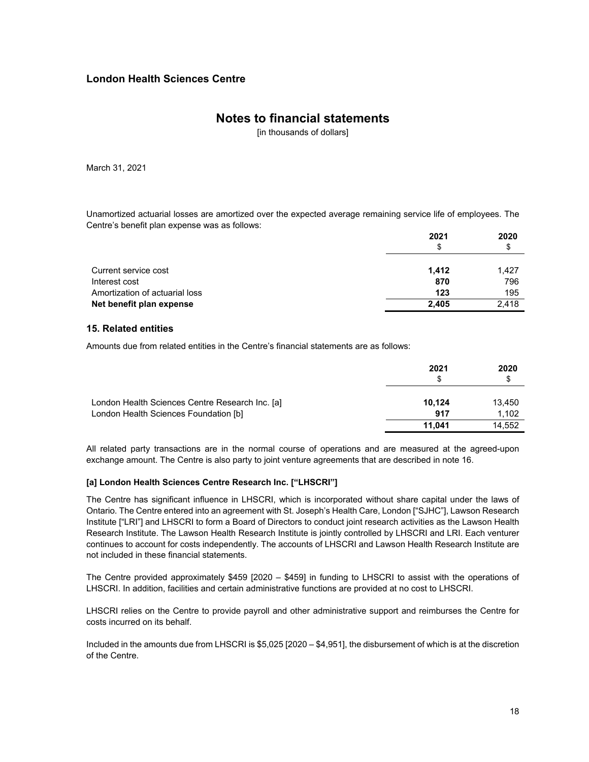# **Notes to financial statements**

[in thousands of dollars]

March 31, 2021

Unamortized actuarial losses are amortized over the expected average remaining service life of employees. The Centre's benefit plan expense was as follows:

|                                                 | 2021<br>\$ | 2020<br>\$ |
|-------------------------------------------------|------------|------------|
| Current service cost                            | 1.412      | 1,427      |
| Interest cost<br>Amortization of actuarial loss | 870<br>123 | 796<br>195 |
| Net benefit plan expense                        | 2.405      | 2.418      |

### **15. Related entities**

Amounts due from related entities in the Centre's financial statements are as follows:

|                                                 | 2021<br>\$ | 2020<br>S |
|-------------------------------------------------|------------|-----------|
| London Health Sciences Centre Research Inc. [a] | 10.124     | 13,450    |
| London Health Sciences Foundation [b]           | 917        | 1.102     |
|                                                 | 11.041     | 14,552    |

All related party transactions are in the normal course of operations and are measured at the agreed-upon exchange amount. The Centre is also party to joint venture agreements that are described in note 16.

#### **[a] London Health Sciences Centre Research Inc. ["LHSCRI"]**

The Centre has significant influence in LHSCRI, which is incorporated without share capital under the laws of Ontario. The Centre entered into an agreement with St. Joseph's Health Care, London ["SJHC"], Lawson Research Institute ["LRI"] and LHSCRI to form a Board of Directors to conduct joint research activities as the Lawson Health Research Institute. The Lawson Health Research Institute is jointly controlled by LHSCRI and LRI. Each venturer continues to account for costs independently. The accounts of LHSCRI and Lawson Health Research Institute are not included in these financial statements.

The Centre provided approximately \$459 [2020 – \$459] in funding to LHSCRI to assist with the operations of LHSCRI. In addition, facilities and certain administrative functions are provided at no cost to LHSCRI.

LHSCRI relies on the Centre to provide payroll and other administrative support and reimburses the Centre for costs incurred on its behalf.

Included in the amounts due from LHSCRI is \$5,025 [2020 – \$4,951], the disbursement of which is at the discretion of the Centre.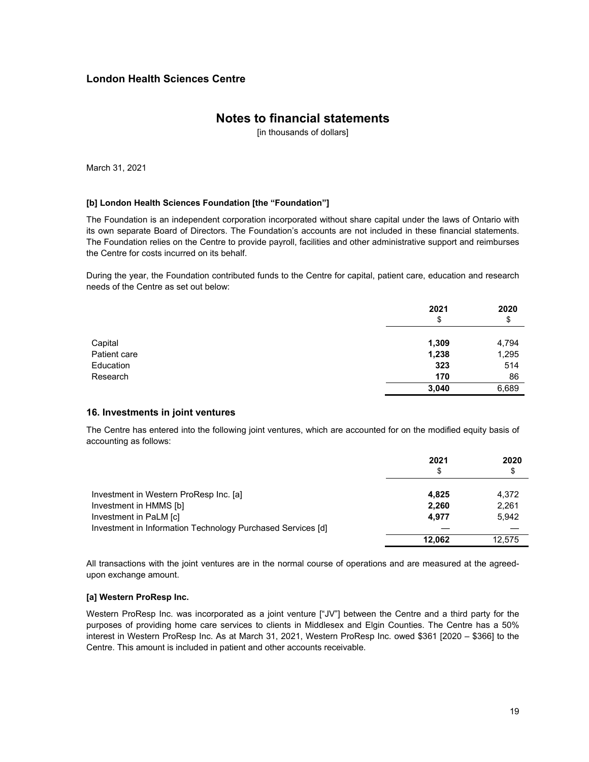# **Notes to financial statements**

[in thousands of dollars]

March 31, 2021

#### **[b] London Health Sciences Foundation [the "Foundation"]**

The Foundation is an independent corporation incorporated without share capital under the laws of Ontario with its own separate Board of Directors. The Foundation's accounts are not included in these financial statements. The Foundation relies on the Centre to provide payroll, facilities and other administrative support and reimburses the Centre for costs incurred on its behalf.

During the year, the Foundation contributed funds to the Centre for capital, patient care, education and research needs of the Centre as set out below:

|              | 2021<br>\$ | 2020<br>\$ |
|--------------|------------|------------|
| Capital      | 1,309      | 4,794      |
| Patient care | 1,238      | 1,295      |
| Education    | 323        | 514        |
| Research     | 170        | 86         |
|              | 3,040      | 6,689      |

#### **16. Investments in joint ventures**

The Centre has entered into the following joint ventures, which are accounted for on the modified equity basis of accounting as follows:

|                                                             | 2021<br>\$ | 2020<br>\$ |
|-------------------------------------------------------------|------------|------------|
| Investment in Western ProResp Inc. [a]                      | 4,825      | 4,372      |
| Investment in HMMS [b]                                      | 2,260      | 2,261      |
| Investment in PaLM [c]                                      | 4,977      | 5,942      |
| Investment in Information Technology Purchased Services [d] |            |            |
|                                                             | 12.062     | 12.575     |

All transactions with the joint ventures are in the normal course of operations and are measured at the agreedupon exchange amount.

#### **[a] Western ProResp Inc.**

Western ProResp Inc. was incorporated as a joint venture ["JV"] between the Centre and a third party for the purposes of providing home care services to clients in Middlesex and Elgin Counties. The Centre has a 50% interest in Western ProResp Inc. As at March 31, 2021, Western ProResp Inc. owed \$361 [2020 – \$366] to the Centre. This amount is included in patient and other accounts receivable.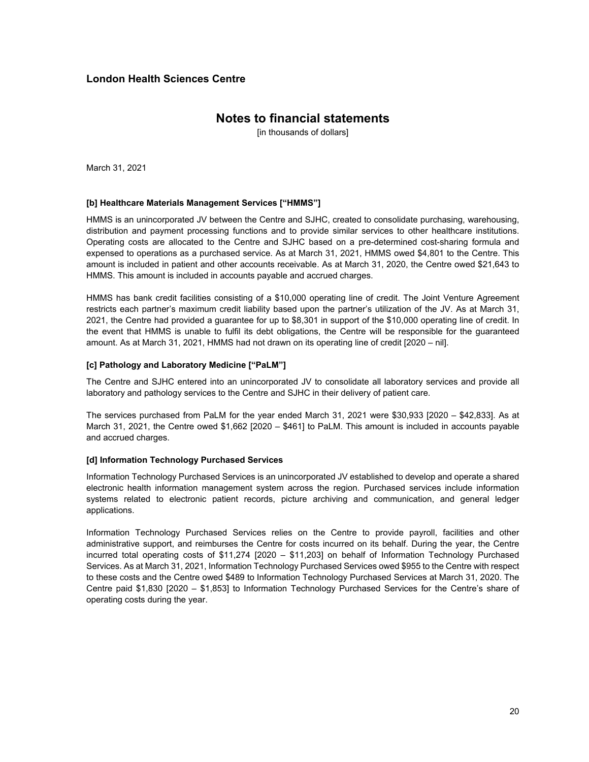# **Notes to financial statements**

[in thousands of dollars]

March 31, 2021

#### **[b] Healthcare Materials Management Services ["HMMS"]**

HMMS is an unincorporated JV between the Centre and SJHC, created to consolidate purchasing, warehousing, distribution and payment processing functions and to provide similar services to other healthcare institutions. Operating costs are allocated to the Centre and SJHC based on a pre-determined cost-sharing formula and expensed to operations as a purchased service. As at March 31, 2021, HMMS owed \$4,801 to the Centre. This amount is included in patient and other accounts receivable. As at March 31, 2020, the Centre owed \$21,643 to HMMS. This amount is included in accounts payable and accrued charges.

HMMS has bank credit facilities consisting of a \$10,000 operating line of credit. The Joint Venture Agreement restricts each partner's maximum credit liability based upon the partner's utilization of the JV. As at March 31, 2021, the Centre had provided a guarantee for up to \$8,301 in support of the \$10,000 operating line of credit. In the event that HMMS is unable to fulfil its debt obligations, the Centre will be responsible for the guaranteed amount. As at March 31, 2021, HMMS had not drawn on its operating line of credit [2020 – nil].

#### **[c] Pathology and Laboratory Medicine ["PaLM"]**

The Centre and SJHC entered into an unincorporated JV to consolidate all laboratory services and provide all laboratory and pathology services to the Centre and SJHC in their delivery of patient care.

The services purchased from PaLM for the year ended March 31, 2021 were \$30,933 [2020 – \$42,833]. As at March 31, 2021, the Centre owed \$1,662 [2020 – \$461] to PaLM. This amount is included in accounts payable and accrued charges.

#### **[d] Information Technology Purchased Services**

Information Technology Purchased Services is an unincorporated JV established to develop and operate a shared electronic health information management system across the region. Purchased services include information systems related to electronic patient records, picture archiving and communication, and general ledger applications.

Information Technology Purchased Services relies on the Centre to provide payroll, facilities and other administrative support, and reimburses the Centre for costs incurred on its behalf. During the year, the Centre incurred total operating costs of \$11,274 [2020 – \$11,203] on behalf of Information Technology Purchased Services. As at March 31, 2021, Information Technology Purchased Services owed \$955 to the Centre with respect to these costs and the Centre owed \$489 to Information Technology Purchased Services at March 31, 2020. The Centre paid \$1,830 [2020 – \$1,853] to Information Technology Purchased Services for the Centre's share of operating costs during the year.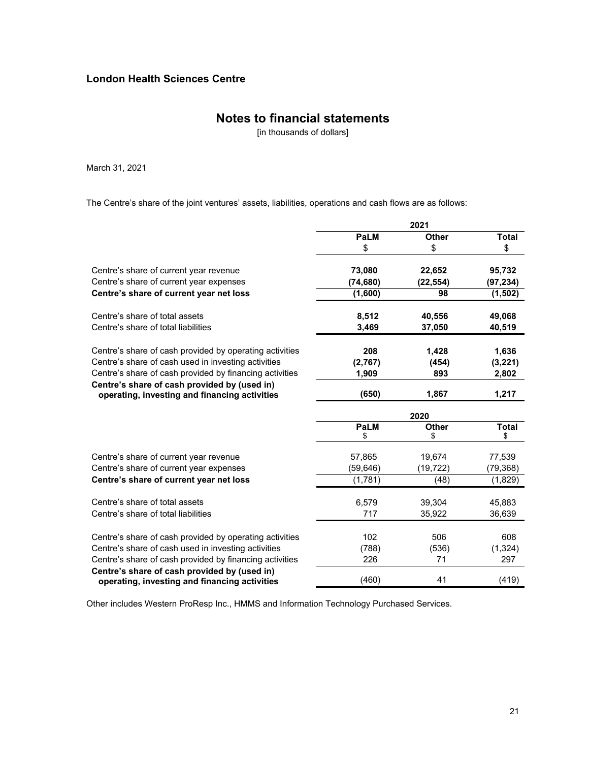# **Notes to financial statements**

[in thousands of dollars]

March 31, 2021

The Centre's share of the joint ventures' assets, liabilities, operations and cash flows are as follows:

|                                                                                                         | 2021           |                  |              |
|---------------------------------------------------------------------------------------------------------|----------------|------------------|--------------|
|                                                                                                         | PaLM           | <b>Other</b>     | <b>Total</b> |
|                                                                                                         | \$             | \$               | \$           |
| Centre's share of current year revenue                                                                  | 73,080         | 22,652           | 95,732       |
| Centre's share of current year expenses                                                                 | (74, 680)      | (22, 554)        | (97, 234)    |
| Centre's share of current year net loss                                                                 | (1,600)        | 98               | (1, 502)     |
| Centre's share of total assets                                                                          |                |                  | 49,068       |
| Centre's share of total liabilities                                                                     | 8,512<br>3,469 | 40,556<br>37,050 | 40,519       |
|                                                                                                         |                |                  |              |
| Centre's share of cash provided by operating activities                                                 | 208            | 1,428            | 1,636        |
| Centre's share of cash used in investing activities                                                     | (2,767)        | (454)            | (3,221)      |
| Centre's share of cash provided by financing activities                                                 | 1,909          | 893              | 2,802        |
| Centre's share of cash provided by (used in)<br>operating, investing and financing activities           | (650)          | 1,867            | 1,217        |
|                                                                                                         |                |                  |              |
|                                                                                                         | 2020           |                  |              |
|                                                                                                         | PaLM           | <b>Other</b>     | <b>Total</b> |
|                                                                                                         | \$             | \$               | \$           |
|                                                                                                         |                |                  |              |
| Centre's share of current year revenue                                                                  | 57,865         | 19.674           | 77,539       |
| Centre's share of current year expenses                                                                 | (59, 646)      | (19, 722)        | (79, 368)    |
| Centre's share of current year net loss                                                                 | (1,781)        | (48)             | (1,829)      |
|                                                                                                         |                |                  |              |
| Centre's share of total assets                                                                          | 6,579          | 39,304           | 45,883       |
| Centre's share of total liabilities                                                                     | 717            | 35,922           | 36,639       |
| Centre's share of cash provided by operating activities                                                 | 102            | 506              | 608          |
| Centre's share of cash used in investing activities                                                     | (788)          | (536)            | (1, 324)     |
| Centre's share of cash provided by financing activities<br>Centre's share of cash provided by (used in) | 226            | 71               | 297          |

Other includes Western ProResp Inc., HMMS and Information Technology Purchased Services.